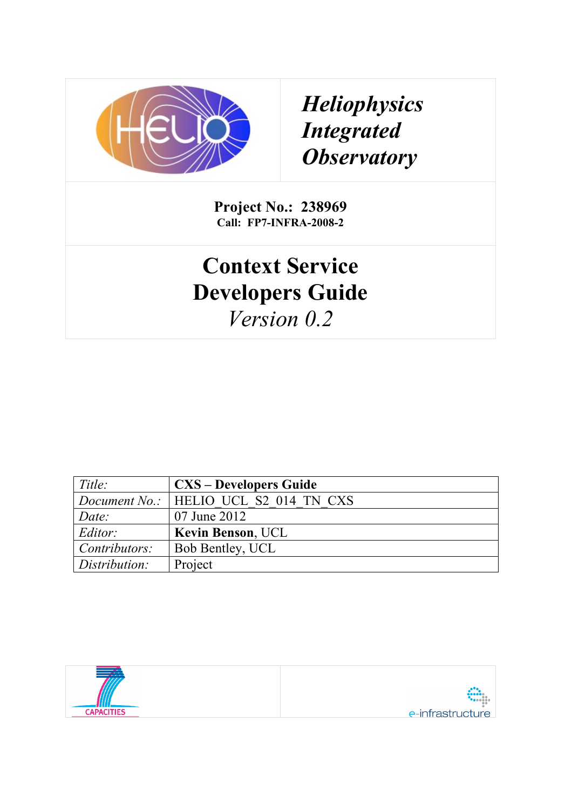

*Heliophysics Integrated Observatory*

**Project No.: 238969 Call: FP7-INFRA-2008-2**

# **Context Service Developers Guide** *Version 0.2*

| Title:        | <b>CXS – Developers Guide</b>           |
|---------------|-----------------------------------------|
|               | Document No.:   HELIO UCL S2 014 TN CXS |
| Date:         | 07 June 2012                            |
| Editor:       | <b>Kevin Benson, UCL</b>                |
| Contributors: | Bob Bentley, UCL                        |
| Distribution: | Project                                 |

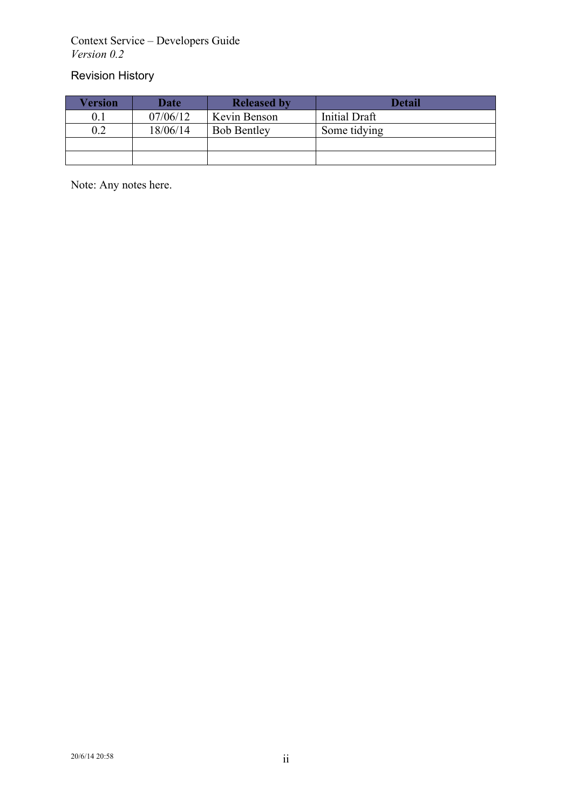#### Context Service – Developers Guide *Version 0.2*

# Revision History

| Version | <b>Date</b> | <b>Released by</b> | Detail        |
|---------|-------------|--------------------|---------------|
| $0.1\,$ | 07/06/12    | Kevin Benson       | Initial Draft |
| 0.2     | 18/06/14    | <b>Bob Bentley</b> | Some tidying  |
|         |             |                    |               |
|         |             |                    |               |

Note: Any notes here.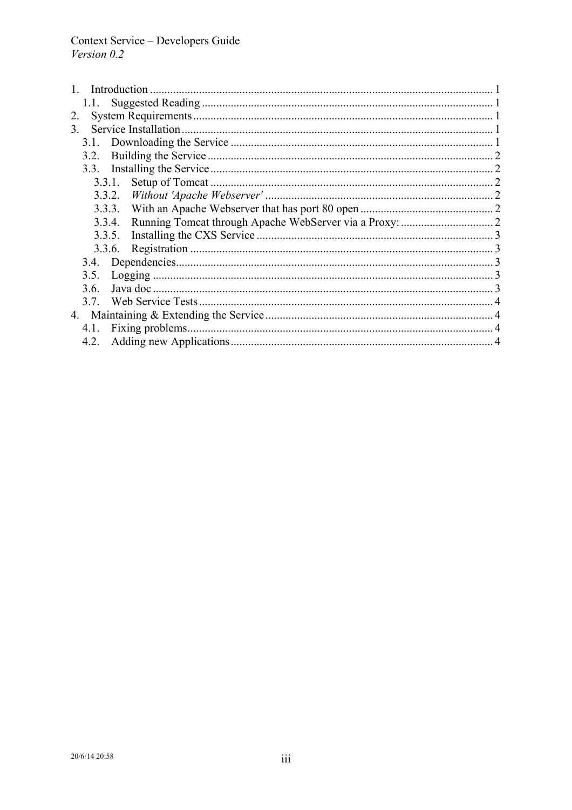|               | Introduction |  |
|---------------|--------------|--|
| 1.1. –        |              |  |
| 2.            |              |  |
| $\mathcal{E}$ |              |  |
|               |              |  |
| 3.2.          |              |  |
| 3.3.          |              |  |
| 3.3.1.        |              |  |
| 3.3.2.        |              |  |
| 3.3.3.        |              |  |
| 3.3.4.        |              |  |
| 3.3.5.        |              |  |
| 3.3.6.        |              |  |
| 3.4.          |              |  |
|               |              |  |
| 3.6.          |              |  |
| 3.7.          |              |  |
|               |              |  |
|               |              |  |
| 4.2.          |              |  |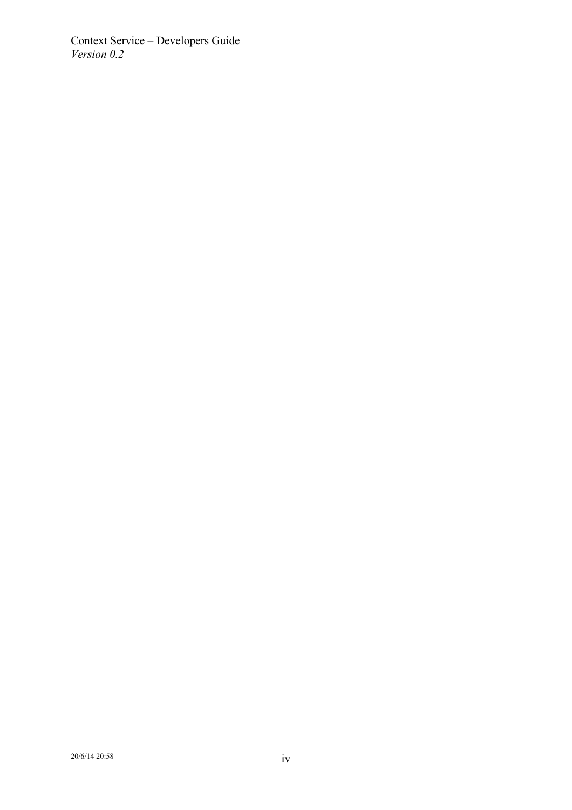Context Service – Developers Guide *Version 0.2*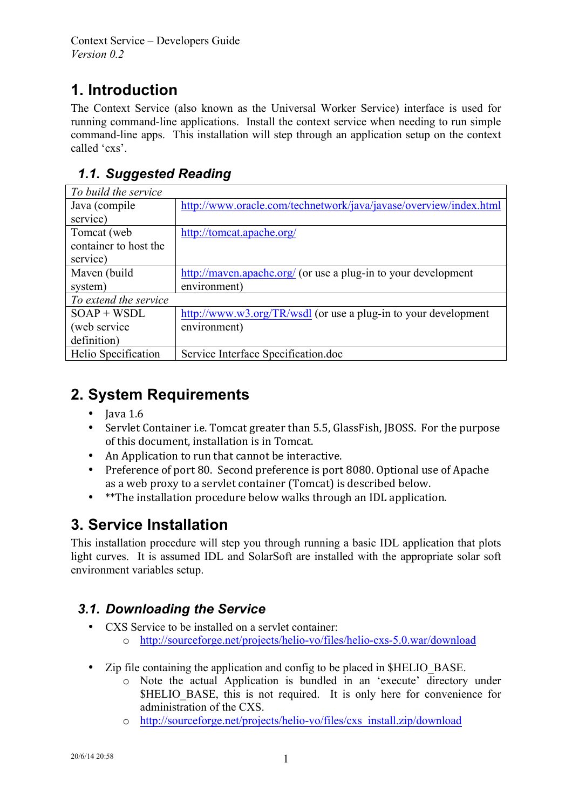# **1. Introduction**

The Context Service (also known as the Universal Worker Service) interface is used for running command-line applications. Install the context service when needing to run simple command-line apps. This installation will step through an application setup on the context called 'cxs'.

# *1.1. Suggested Reading*

| To build the service  |                                                                   |
|-----------------------|-------------------------------------------------------------------|
| Java (compile         | http://www.oracle.com/technetwork/java/javase/overview/index.html |
| service)              |                                                                   |
| Tomcat (web)          | http://tomcat.apache.org/                                         |
| container to host the |                                                                   |
| service)              |                                                                   |
| Maven (build          | http://maven.apache.org/ (or use a plug-in to your development    |
| system)               | environment)                                                      |
| To extend the service |                                                                   |
| $SOAP + WSDL$         | http://www.w3.org/TR/wsdl (or use a plug-in to your development   |
| (web service)         | environment)                                                      |
| definition)           |                                                                   |
| Helio Specification   | Service Interface Specification.doc                               |

# **2. System Requirements**

- Java  $1.6$
- Servlet Container i.e. Tomcat greater than 5.5, GlassFish, JBOSS. For the purpose of this document, installation is in Tomcat.
- An Application to run that cannot be interactive.
- Preference of port 80. Second preference is port 8080. Optional use of Apache as a web proxy to a servlet container (Tomcat) is described below.
- \*\*The installation procedure below walks through an IDL application.

# **3. Service Installation**

This installation procedure will step you through running a basic IDL application that plots light curves. It is assumed IDL and SolarSoft are installed with the appropriate solar soft environment variables setup.

# *3.1. Downloading the Service*

- CXS Service to be installed on a servlet container:
	- o http://sourceforge.net/projects/helio-vo/files/helio-cxs-5.0.war/download
- Zip file containing the application and config to be placed in \$HELIO\_BASE.
	- o Note the actual Application is bundled in an 'execute' directory under \$HELIO\_BASE, this is not required. It is only here for convenience for administration of the CXS.
	- o http://sourceforge.net/projects/helio-vo/files/cxs\_install.zip/download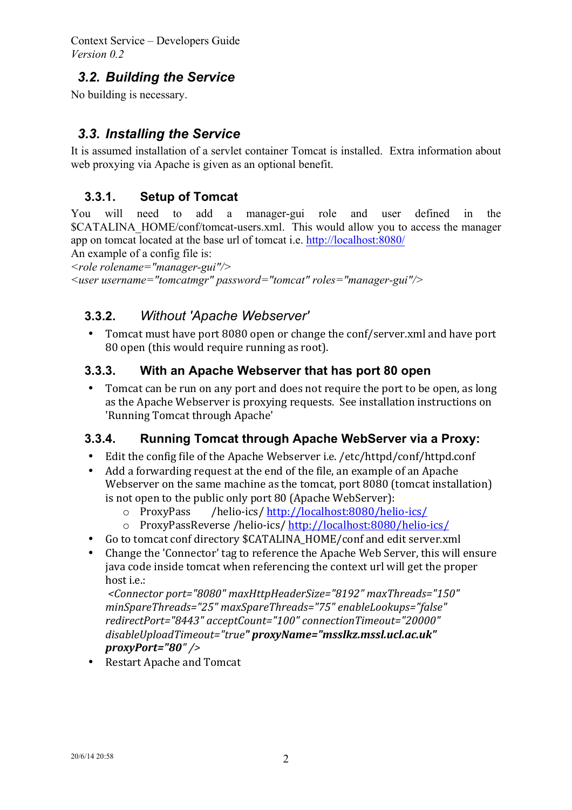Context Service – Developers Guide *Version 0.2*

# *3.2. Building the Service*

No building is necessary.

# *3.3. Installing the Service*

It is assumed installation of a servlet container Tomcat is installed. Extra information about web proxying via Apache is given as an optional benefit.

### **3.3.1. Setup of Tomcat**

You will need to add a manager-gui role and user defined in the \$CATALINA\_HOME/conf/tomcat-users.xml. This would allow you to access the manager app on tomcat located at the base url of tomcat i.e. http://localhost:8080/

An example of a config file is:

*<role rolename="manager-gui"/>*

*<user username="tomcatmgr" password="tomcat" roles="manager-gui"/>*

### **3.3.2.** *Without 'Apache Webserver'*

• Tomcat must have port 8080 open or change the conf/server.xml and have port 80 open (this would require running as root).

#### **3.3.3. With an Apache Webserver that has port 80 open**

Tomcat can be run on any port and does not require the port to be open, as long as the Apache Webserver is proxying requests. See installation instructions on 'Running Tomcat through Apache'

#### **3.3.4. Running Tomcat through Apache WebServer via a Proxy:**

- Edit the config file of the Apache Webserver i.e. /etc/httpd/conf/httpd.conf
- Add a forwarding request at the end of the file, an example of an Apache Webserver on the same machine as the tomcat, port 8080 (tomcat installation) is not open to the public only port 80 (Apache WebServer):
	- o ProxyPass /helio-ics/ http://localhost:8080/helio-ics/
	- o ProxyPassReverse /helio-ics/ http://localhost:8080/helio-ics/
- Go to tomcat conf directory \$CATALINA\_HOME/conf and edit server.xml
- Change the 'Connector' tag to reference the Apache Web Server, this will ensure java code inside tomcat when referencing the context url will get the proper host *i.e.*:

*<Connector port="8080" maxHttpHeaderSize="8192" maxThreads="150"*  minSpareThreads="25" maxSpareThreads="75" enableLookups="false" *redirectPort="8443" acceptCount="100" connectionTimeout="20000"*  disableUploadTimeout="true" proxyName="msslkz.mssl.ucl.ac.uk" *proxyPort="80" />*

Restart Apache and Tomcat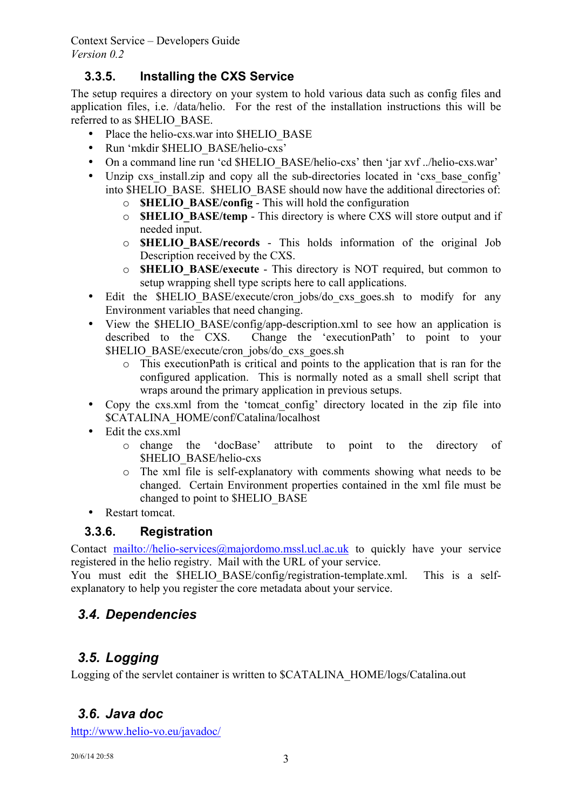#### **3.3.5. Installing the CXS Service**

The setup requires a directory on your system to hold various data such as config files and application files, i.e. /data/helio. For the rest of the installation instructions this will be referred to as \$HELIO\_BASE.

- Place the helio-cxs.war into \$HELIO\_BASE
- Run 'mkdir \$HELIO\_BASE/helio-cxs'
- On a command line run 'cd \$HELIO\_BASE/helio-cxs' then 'jar xvf ../helio-cxs.war'
- Unzip cxs install.zip and copy all the sub-directories located in 'cxs base config' into \$HELIO\_BASE. \$HELIO\_BASE should now have the additional directories of:
	- o **\$HELIO\_BASE/config** This will hold the configuration
	- o **\$HELIO\_BASE/temp** This directory is where CXS will store output and if needed input.
	- o **\$HELIO\_BASE/records** This holds information of the original Job Description received by the CXS.
	- o **\$HELIO\_BASE/execute** This directory is NOT required, but common to setup wrapping shell type scripts here to call applications.
- Edit the SHELIO BASE/execute/cron jobs/do cxs goes.sh to modify for any Environment variables that need changing.
- View the \$HELIO\_BASE/config/app-description.xml to see how an application is described to the CXS. Change the 'executionPath' to point to your \$HELIO\_BASE/execute/cron\_jobs/do\_cxs\_goes.sh
	- $\circ$  This execution Path is critical and points to the application that is ran for the configured application. This is normally noted as a small shell script that wraps around the primary application in previous setups.
- Copy the cxs.xml from the 'tomcat config' directory located in the zip file into \$CATALINA\_HOME/conf/Catalina/localhost
- Edit the cxs.xml
	- o change the 'docBase' attribute to point to the directory of \$HELIO\_BASE/helio-cxs
	- o The xml file is self-explanatory with comments showing what needs to be changed. Certain Environment properties contained in the xml file must be changed to point to \$HELIO\_BASE
- Restart tomcat.

#### **3.3.6. Registration**

Contact mailto://helio-services@majordomo.mssl.ucl.ac.uk to quickly have your service registered in the helio registry. Mail with the URL of your service.

You must edit the SHELIO BASE/config/registration-template.xml. This is a selfexplanatory to help you register the core metadata about your service.

#### *3.4. Dependencies*

# *3.5. Logging*

Logging of the servlet container is written to \$CATALINA\_HOME/logs/Catalina.out

#### *3.6. Java doc*

http://www.helio-vo.eu/javadoc/